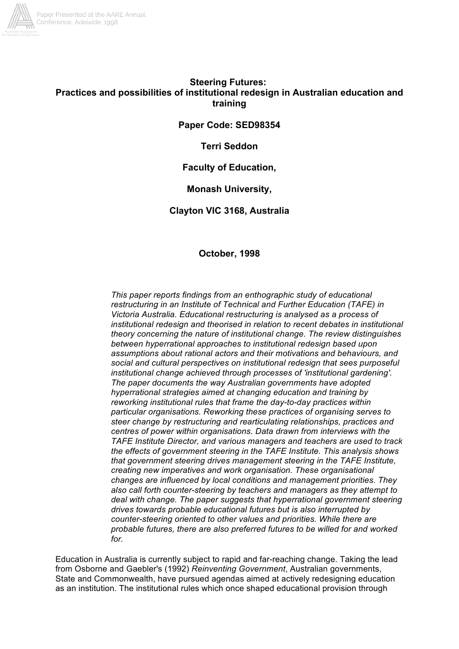

# **Steering Futures: Practices and possibilities of institutional redesign in Australian education and training**

**Paper Code: SED98354**

**Terri Seddon**

# **Faculty of Education,**

**Monash University,**

### **Clayton VIC 3168, Australia**

#### **October, 1998**

*This paper reports findings from an enthographic study of educational restructuring in an Institute of Technical and Further Education (TAFE) in Victoria Australia. Educational restructuring is analysed as a process of institutional redesign and theorised in relation to recent debates in institutional theory concerning the nature of institutional change. The review distinguishes between hyperrational approaches to institutional redesign based upon assumptions about rational actors and their motivations and behaviours, and social and cultural perspectives on institutional redesign that sees purposeful institutional change achieved through processes of 'institutional gardening'. The paper documents the way Australian governments have adopted hyperrational strategies aimed at changing education and training by reworking institutional rules that frame the day-to-day practices within particular organisations. Reworking these practices of organising serves to steer change by restructuring and rearticulating relationships, practices and centres of power within organisations. Data drawn from interviews with the TAFE Institute Director, and various managers and teachers are used to track the effects of government steering in the TAFE Institute. This analysis shows that government steering drives management steering in the TAFE Institute, creating new imperatives and work organisation. These organisational changes are influenced by local conditions and management priorities. They also call forth counter-steering by teachers and managers as they attempt to deal with change. The paper suggests that hyperrational government steering drives towards probable educational futures but is also interrupted by counter-steering oriented to other values and priorities. While there are probable futures, there are also preferred futures to be willed for and worked for.*

Education in Australia is currently subject to rapid and far-reaching change. Taking the lead from Osborne and Gaebler's (1992) *Reinventing Government*, Australian governments, State and Commonwealth, have pursued agendas aimed at actively redesigning education as an institution. The institutional rules which once shaped educational provision through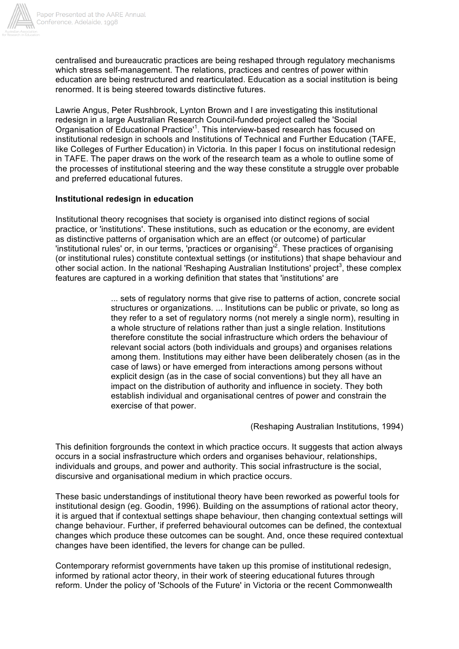

centralised and bureaucratic practices are being reshaped through regulatory mechanisms which stress self-management. The relations, practices and centres of power within education are being restructured and rearticulated. Education as a social institution is being renormed. It is being steered towards distinctive futures.

Lawrie Angus, Peter Rushbrook, Lynton Brown and I are investigating this institutional redesign in a large Australian Research Council-funded project called the 'Social Organisation of Educational Practice<sup>11</sup>. This interview-based research has focused on institutional redesign in schools and Institutions of Technical and Further Education (TAFE, like Colleges of Further Education) in Victoria. In this paper I focus on institutional redesign in TAFE. The paper draws on the work of the research team as a whole to outline some of the processes of institutional steering and the way these constitute a struggle over probable and preferred educational futures.

# **Institutional redesign in education**

Institutional theory recognises that society is organised into distinct regions of social practice, or 'institutions'. These institutions, such as education or the economy, are evident as distinctive patterns of organisation which are an effect (or outcome) of particular linstitutional rules' or, in our terms, 'practices or organising<sup>12</sup>. These practices of organising (or institutional rules) constitute contextual settings (or institutions) that shape behaviour and other social action. In the national 'Reshaping Australian Institutions' project<sup>3</sup>, these complex features are captured in a working definition that states that 'institutions' are

> ... sets of regulatory norms that give rise to patterns of action, concrete social structures or organizations. ... Institutions can be public or private, so long as they refer to a set of regulatory norms (not merely a single norm), resulting in a whole structure of relations rather than just a single relation. Institutions therefore constitute the social infrastructure which orders the behaviour of relevant social actors (both individuals and groups) and organises relations among them. Institutions may either have been deliberately chosen (as in the case of laws) or have emerged from interactions among persons without explicit design (as in the case of social conventions) but they all have an impact on the distribution of authority and influence in society. They both establish individual and organisational centres of power and constrain the exercise of that power.

### (Reshaping Australian Institutions, 1994)

This definition forgrounds the context in which practice occurs. It suggests that action always occurs in a social insfrastructure which orders and organises behaviour, relationships, individuals and groups, and power and authority. This social infrastructure is the social, discursive and organisational medium in which practice occurs.

These basic understandings of institutional theory have been reworked as powerful tools for institutional design (eg. Goodin, 1996). Building on the assumptions of rational actor theory, it is argued that if contextual settings shape behaviour, then changing contextual settings will change behaviour. Further, if preferred behavioural outcomes can be defined, the contextual changes which produce these outcomes can be sought. And, once these required contextual changes have been identified, the levers for change can be pulled.

Contemporary reformist governments have taken up this promise of institutional redesign, informed by rational actor theory, in their work of steering educational futures through reform. Under the policy of 'Schools of the Future' in Victoria or the recent Commonwealth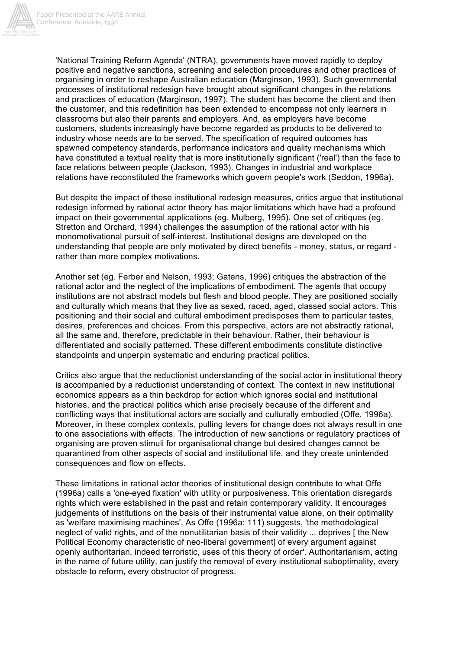

'National Training Reform Agenda' (NTRA), governments have moved rapidly to deploy positive and negative sanctions, screening and selection procedures and other practices of organising in order to reshape Australian education (Marginson, 1993). Such governmental processes of institutional redesign have brought about significant changes in the relations and practices of education (Marginson, 1997). The student has become the client and then the customer, and this redefinition has been extended to encompass not only learners in classrooms but also their parents and employers. And, as employers have become customers, students increasingly have become regarded as products to be delivered to industry whose needs are to be served. The specification of required outcomes has spawned competency standards, performance indicators and quality mechanisms which have constituted a textual reality that is more institutionally significant ('real') than the face to face relations between people (Jackson, 1993). Changes in industrial and workplace relations have reconstituted the frameworks which govern people's work (Seddon, 1996a).

But despite the impact of these institutional redesign measures, critics argue that institutional redesign informed by rational actor theory has major limitations which have had a profound impact on their governmental applications (eg. Mulberg, 1995). One set of critiques (eg. Stretton and Orchard, 1994) challenges the assumption of the rational actor with his monomotivational pursuit of self-interest. Institutional designs are developed on the understanding that people are only motivated by direct benefits - money, status, or regard rather than more complex motivations.

Another set (eg. Ferber and Nelson, 1993; Gatens, 1996) critiques the abstraction of the rational actor and the neglect of the implications of embodiment. The agents that occupy institutions are not abstract models but flesh and blood people. They are positioned socially and culturally which means that they live as sexed, raced, aged, classed social actors. This positioning and their social and cultural embodiment predisposes them to particular tastes, desires, preferences and choices. From this perspective, actors are not abstractly rational, all the same and, therefore, predictable in their behaviour. Rather, their behaviour is differentiated and socially patterned. These different embodiments constitute distinctive standpoints and unperpin systematic and enduring practical politics.

Critics also argue that the reductionist understanding of the social actor in institutional theory is accompanied by a reductionist understanding of context. The context in new institutional economics appears as a thin backdrop for action which ignores social and institutional histories, and the practical politics which arise precisely because of the different and conflicting ways that institutional actors are socially and culturally embodied (Offe, 1996a). Moreover, in these complex contexts, pulling levers for change does not always result in one to one associations with effects. The introduction of new sanctions or regulatory practices of organising are proven stimuli for organisational change but desired changes cannot be quarantined from other aspects of social and institutional life, and they create unintended consequences and flow on effects.

These limitations in rational actor theories of institutional design contribute to what Offe (1996a) calls a 'one-eyed fixation' with utility or purposiveness. This orientation disregards rights which were established in the past and retain contemporary validity. It encourages judgements of institutions on the basis of their instrumental value alone, on their optimality as 'welfare maximising machines'. As Offe (1996a: 111) suggests, 'the methodological neglect of valid rights, and of the nonutilitarian basis of their validity ... deprives [ the New Political Economy characteristic of neo-liberal government] of every argument against openly authoritarian, indeed terroristic, uses of this theory of order'. Authoritarianism, acting in the name of future utility, can justify the removal of every institutional suboptimality, every obstacle to reform, every obstructor of progress.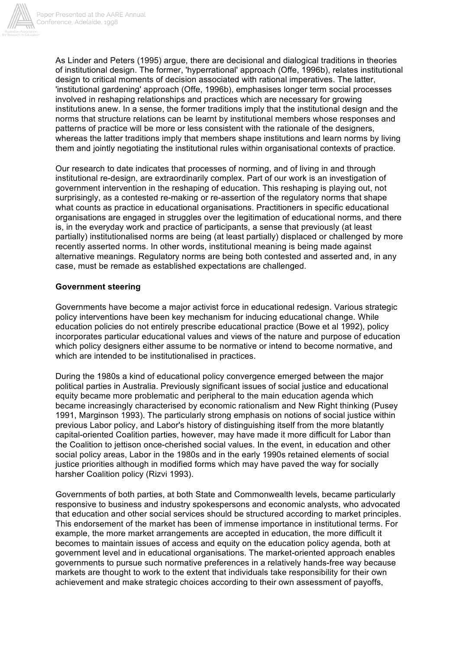

As Linder and Peters (1995) argue, there are decisional and dialogical traditions in theories of institutional design. The former, 'hyperrational' approach (Offe, 1996b), relates institutional design to critical moments of decision associated with rational imperatives. The latter, 'institutional gardening' approach (Offe, 1996b), emphasises longer term social processes involved in reshaping relationships and practices which are necessary for growing institutions anew. In a sense, the former traditions imply that the institutional design and the norms that structure relations can be learnt by institutional members whose responses and patterns of practice will be more or less consistent with the rationale of the designers, whereas the latter traditions imply that members shape institutions and learn norms by living them and jointly negotiating the institutional rules within organisational contexts of practice.

Our research to date indicates that processes of norming, and of living in and through institutional re-design, are extraordinarily complex. Part of our work is an investigation of government intervention in the reshaping of education. This reshaping is playing out, not surprisingly, as a contested re-making or re-assertion of the regulatory norms that shape what counts as practice in educational organisations. Practitioners in specific educational organisations are engaged in struggles over the legitimation of educational norms, and there is, in the everyday work and practice of participants, a sense that previously (at least partially) institutionalised norms are being (at least partially) displaced or challenged by more recently asserted norms. In other words, institutional meaning is being made against alternative meanings. Regulatory norms are being both contested and asserted and, in any case, must be remade as established expectations are challenged.

### **Government steering**

Governments have become a major activist force in educational redesign. Various strategic policy interventions have been key mechanism for inducing educational change. While education policies do not entirely prescribe educational practice (Bowe et al 1992), policy incorporates particular educational values and views of the nature and purpose of education which policy designers either assume to be normative or intend to become normative, and which are intended to be institutionalised in practices.

During the 1980s a kind of educational policy convergence emerged between the major political parties in Australia. Previously significant issues of social justice and educational equity became more problematic and peripheral to the main education agenda which became increasingly characterised by economic rationalism and New Right thinking (Pusey 1991, Marginson 1993). The particularly strong emphasis on notions of social justice within previous Labor policy, and Labor's history of distinguishing itself from the more blatantly capital-oriented Coalition parties, however, may have made it more difficult for Labor than the Coalition to jettison once-cherished social values. In the event, in education and other social policy areas, Labor in the 1980s and in the early 1990s retained elements of social justice priorities although in modified forms which may have paved the way for socially harsher Coalition policy (Rizvi 1993).

Governments of both parties, at both State and Commonwealth levels, became particularly responsive to business and industry spokespersons and economic analysts, who advocated that education and other social services should be structured according to market principles. This endorsement of the market has been of immense importance in institutional terms. For example, the more market arrangements are accepted in education, the more difficult it becomes to maintain issues of access and equity on the education policy agenda, both at government level and in educational organisations. The market-oriented approach enables governments to pursue such normative preferences in a relatively hands-free way because markets are thought to work to the extent that individuals take responsibility for their own achievement and make strategic choices according to their own assessment of payoffs,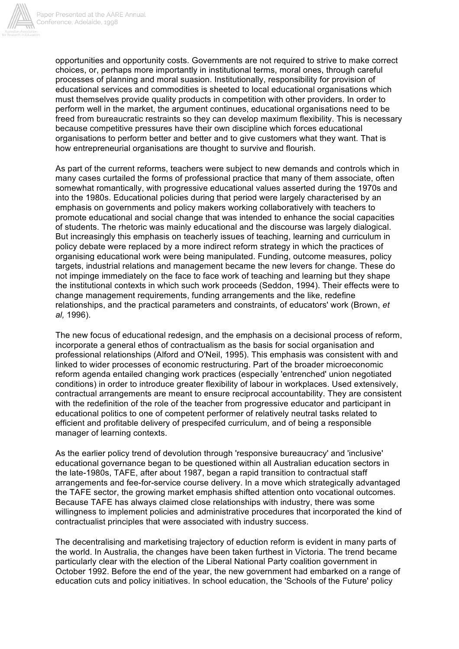

opportunities and opportunity costs. Governments are not required to strive to make correct choices, or, perhaps more importantly in institutional terms, moral ones, through careful processes of planning and moral suasion. Institutionally, responsibility for provision of educational services and commodities is sheeted to local educational organisations which must themselves provide quality products in competition with other providers. In order to perform well in the market, the argument continues, educational organisations need to be freed from bureaucratic restraints so they can develop maximum flexibility. This is necessary because competitive pressures have their own discipline which forces educational organisations to perform better and better and to give customers what they want. That is how entrepreneurial organisations are thought to survive and flourish.

As part of the current reforms, teachers were subject to new demands and controls which in many cases curtailed the forms of professional practice that many of them associate, often somewhat romantically, with progressive educational values asserted during the 1970s and into the 1980s. Educational policies during that period were largely characterised by an emphasis on governments and policy makers working collaboratively with teachers to promote educational and social change that was intended to enhance the social capacities of students. The rhetoric was mainly educational and the discourse was largely dialogical. But increasingly this emphasis on teacherly issues of teaching, learning and curriculum in policy debate were replaced by a more indirect reform strategy in which the practices of organising educational work were being manipulated. Funding, outcome measures, policy targets, industrial relations and management became the new levers for change. These do not impinge immediately on the face to face work of teaching and learning but they shape the institutional contexts in which such work proceeds (Seddon, 1994). Their effects were to change management requirements, funding arrangements and the like, redefine relationships, and the practical parameters and constraints, of educators' work (Brown, *et al,* 1996).

The new focus of educational redesign, and the emphasis on a decisional process of reform, incorporate a general ethos of contractualism as the basis for social organisation and professional relationships (Alford and O'Neil, 1995). This emphasis was consistent with and linked to wider processes of economic restructuring. Part of the broader microeconomic reform agenda entailed changing work practices (especially 'entrenched' union negotiated conditions) in order to introduce greater flexibility of labour in workplaces. Used extensively, contractual arrangements are meant to ensure reciprocal accountability. They are consistent with the redefinition of the role of the teacher from progressive educator and participant in educational politics to one of competent performer of relatively neutral tasks related to efficient and profitable delivery of prespecifed curriculum, and of being a responsible manager of learning contexts.

As the earlier policy trend of devolution through 'responsive bureaucracy' and 'inclusive' educational governance began to be questioned within all Australian education sectors in the late-1980s, TAFE, after about 1987, began a rapid transition to contractual staff arrangements and fee-for-service course delivery. In a move which strategically advantaged the TAFE sector, the growing market emphasis shifted attention onto vocational outcomes. Because TAFE has always claimed close relationships with industry, there was some willingness to implement policies and administrative procedures that incorporated the kind of contractualist principles that were associated with industry success.

The decentralising and marketising trajectory of eduction reform is evident in many parts of the world. In Australia, the changes have been taken furthest in Victoria. The trend became particularly clear with the election of the Liberal National Party coalition government in October 1992. Before the end of the year, the new government had embarked on a range of education cuts and policy initiatives. In school education, the 'Schools of the Future' policy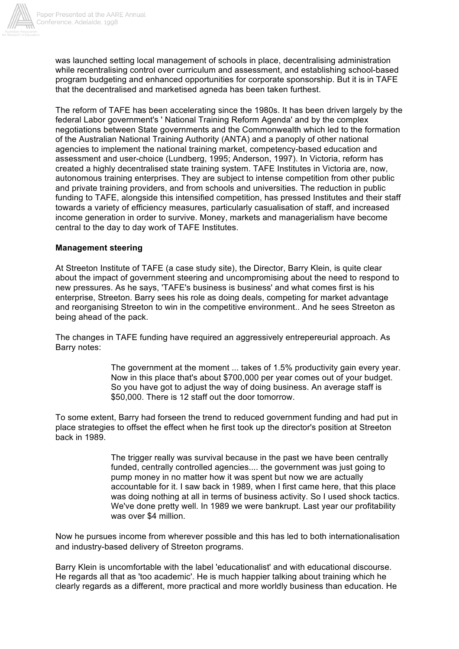

was launched setting local management of schools in place, decentralising administration while recentralising control over curriculum and assessment, and establishing school-based program budgeting and enhanced opportunities for corporate sponsorship. But it is in TAFE that the decentralised and marketised agneda has been taken furthest.

The reform of TAFE has been accelerating since the 1980s. It has been driven largely by the federal Labor government's ' National Training Reform Agenda' and by the complex negotiations between State governments and the Commonwealth which led to the formation of the Australian National Training Authority (ANTA) and a panoply of other national agencies to implement the national training market, competency-based education and assessment and user-choice (Lundberg, 1995; Anderson, 1997). In Victoria, reform has created a highly decentralised state training system. TAFE Institutes in Victoria are, now, autonomous training enterprises. They are subject to intense competition from other public and private training providers, and from schools and universities. The reduction in public funding to TAFE, alongside this intensified competition, has pressed Institutes and their staff towards a variety of efficiency measures, particularly casualisation of staff, and increased income generation in order to survive. Money, markets and managerialism have become central to the day to day work of TAFE Institutes.

#### **Management steering**

At Streeton Institute of TAFE (a case study site), the Director, Barry Klein, is quite clear about the impact of government steering and uncompromising about the need to respond to new pressures. As he says, 'TAFE's business is business' and what comes first is his enterprise, Streeton. Barry sees his role as doing deals, competing for market advantage and reorganising Streeton to win in the competitive environment.. And he sees Streeton as being ahead of the pack.

The changes in TAFE funding have required an aggressively entrepereurial approach. As Barry notes:

> The government at the moment ... takes of 1.5% productivity gain every year. Now in this place that's about \$700,000 per year comes out of your budget. So you have got to adjust the way of doing business. An average staff is \$50,000. There is 12 staff out the door tomorrow.

To some extent, Barry had forseen the trend to reduced government funding and had put in place strategies to offset the effect when he first took up the director's position at Streeton back in 1989.

> The trigger really was survival because in the past we have been centrally funded, centrally controlled agencies.... the government was just going to pump money in no matter how it was spent but now we are actually accountable for it. I saw back in 1989, when I first came here, that this place was doing nothing at all in terms of business activity. So I used shock tactics. We've done pretty well. In 1989 we were bankrupt. Last year our profitability was over \$4 million.

Now he pursues income from wherever possible and this has led to both internationalisation and industry-based delivery of Streeton programs.

Barry Klein is uncomfortable with the label 'educationalist' and with educational discourse. He regards all that as 'too academic'. He is much happier talking about training which he clearly regards as a different, more practical and more worldly business than education. He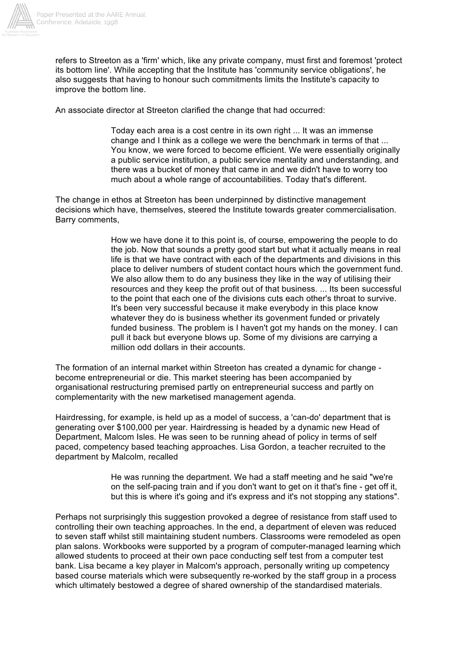

refers to Streeton as a 'firm' which, like any private company, must first and foremost 'protect its bottom line'. While accepting that the Institute has 'community service obligations', he also suggests that having to honour such commitments limits the Institute's capacity to improve the bottom line.

An associate director at Streeton clarified the change that had occurred:

Today each area is a cost centre in its own right ... It was an immense change and I think as a college we were the benchmark in terms of that ... You know, we were forced to become efficient. We were essentially originally a public service institution, a public service mentality and understanding, and there was a bucket of money that came in and we didn't have to worry too much about a whole range of accountabilities. Today that's different.

The change in ethos at Streeton has been underpinned by distinctive management decisions which have, themselves, steered the Institute towards greater commercialisation. Barry comments,

> How we have done it to this point is, of course, empowering the people to do the job. Now that sounds a pretty good start but what it actually means in real life is that we have contract with each of the departments and divisions in this place to deliver numbers of student contact hours which the government fund. We also allow them to do any business they like in the way of utilising their resources and they keep the profit out of that business. ... Its been successful to the point that each one of the divisions cuts each other's throat to survive. It's been very successful because it make everybody in this place know whatever they do is business whether its govenment funded or privately funded business. The problem is I haven't got my hands on the money. I can pull it back but everyone blows up. Some of my divisions are carrying a million odd dollars in their accounts.

The formation of an internal market within Streeton has created a dynamic for change become entrepreneurial or die. This market steering has been accompanied by organisational restructuring premised partly on entrepreneurial success and partly on complementarity with the new marketised management agenda.

Hairdressing, for example, is held up as a model of success, a 'can-do' department that is generating over \$100,000 per year. Hairdressing is headed by a dynamic new Head of Department, Malcom Isles. He was seen to be running ahead of policy in terms of self paced, competency based teaching approaches. Lisa Gordon, a teacher recruited to the department by Malcolm, recalled

> He was running the department. We had a staff meeting and he said "we're on the self-pacing train and if you don't want to get on it that's fine - get off it, but this is where it's going and it's express and it's not stopping any stations".

Perhaps not surprisingly this suggestion provoked a degree of resistance from staff used to controlling their own teaching approaches. In the end, a department of eleven was reduced to seven staff whilst still maintaining student numbers. Classrooms were remodeled as open plan salons. Workbooks were supported by a program of computer-managed learning which allowed students to proceed at their own pace conducting self test from a computer test bank. Lisa became a key player in Malcom's approach, personally writing up competency based course materials which were subsequently re-worked by the staff group in a process which ultimately bestowed a degree of shared ownership of the standardised materials.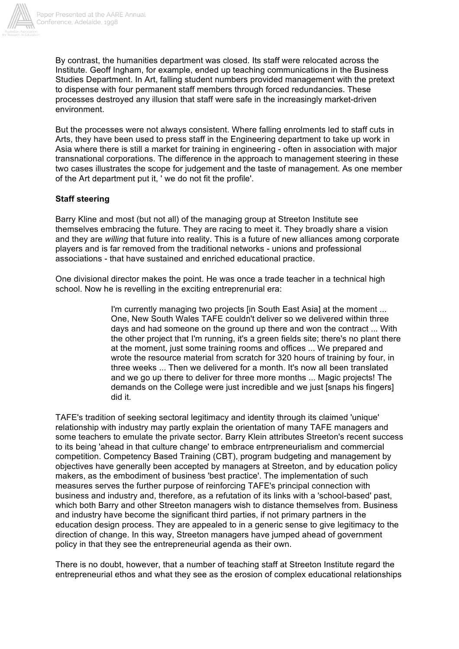

By contrast, the humanities department was closed. Its staff were relocated across the Institute. Geoff Ingham, for example, ended up teaching communications in the Business Studies Department. In Art, falling student numbers provided management with the pretext to dispense with four permanent staff members through forced redundancies. These processes destroyed any illusion that staff were safe in the increasingly market-driven environment.

But the processes were not always consistent. Where falling enrolments led to staff cuts in Arts, they have been used to press staff in the Engineering department to take up work in Asia where there is still a market for training in engineering - often in association with major transnational corporations. The difference in the approach to management steering in these two cases illustrates the scope for judgement and the taste of management. As one member of the Art department put it, ' we do not fit the profile'.

# **Staff steering**

Barry Kline and most (but not all) of the managing group at Streeton Institute see themselves embracing the future. They are racing to meet it. They broadly share a vision and they are *willing* that future into reality. This is a future of new alliances among corporate players and is far removed from the traditional networks - unions and professional associations - that have sustained and enriched educational practice.

One divisional director makes the point. He was once a trade teacher in a technical high school. Now he is revelling in the exciting entreprenurial era:

> I'm currently managing two projects [in South East Asia] at the moment ... One, New South Wales TAFE couldn't deliver so we delivered within three days and had someone on the ground up there and won the contract ... With the other project that I'm running, it's a green fields site; there's no plant there at the moment, just some training rooms and offices ... We prepared and wrote the resource material from scratch for 320 hours of training by four, in three weeks ... Then we delivered for a month. It's now all been translated and we go up there to deliver for three more months ... Magic projects! The demands on the College were just incredible and we just [snaps his fingers] did it.

TAFE's tradition of seeking sectoral legitimacy and identity through its claimed 'unique' relationship with industry may partly explain the orientation of many TAFE managers and some teachers to emulate the private sector. Barry Klein attributes Streeton's recent success to its being 'ahead in that culture change' to embrace entrpreneurialism and commercial competition. Competency Based Training (CBT), program budgeting and management by objectives have generally been accepted by managers at Streeton, and by education policy makers, as the embodiment of business 'best practice'. The implementation of such measures serves the further purpose of reinforcing TAFE's principal connection with business and industry and, therefore, as a refutation of its links with a 'school-based' past, which both Barry and other Streeton managers wish to distance themselves from. Business and industry have become the significant third parties, if not primary partners in the education design process. They are appealed to in a generic sense to give legitimacy to the direction of change. In this way, Streeton managers have jumped ahead of government policy in that they see the entrepreneurial agenda as their own.

There is no doubt, however, that a number of teaching staff at Streeton Institute regard the entrepreneurial ethos and what they see as the erosion of complex educational relationships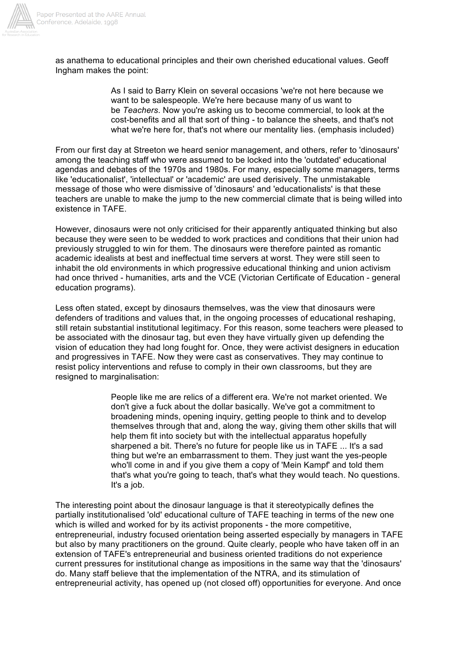

as anathema to educational principles and their own cherished educational values. Geoff Ingham makes the point:

> As I said to Barry Klein on several occasions 'we're not here because we want to be salespeople. We're here because many of us want to be *Teachers*. Now you're asking us to become commercial, to look at the cost-benefits and all that sort of thing - to balance the sheets, and that's not what we're here for, that's not where our mentality lies. (emphasis included)

From our first day at Streeton we heard senior management, and others, refer to 'dinosaurs' among the teaching staff who were assumed to be locked into the 'outdated' educational agendas and debates of the 1970s and 1980s. For many, especially some managers, terms like 'educationalist', 'intellectual' or 'academic' are used derisively. The unmistakable message of those who were dismissive of 'dinosaurs' and 'educationalists' is that these teachers are unable to make the jump to the new commercial climate that is being willed into existence in TAFE.

However, dinosaurs were not only criticised for their apparently antiquated thinking but also because they were seen to be wedded to work practices and conditions that their union had previously struggled to win for them. The dinosaurs were therefore painted as romantic academic idealists at best and ineffectual time servers at worst. They were still seen to inhabit the old environments in which progressive educational thinking and union activism had once thrived - humanities, arts and the VCE (Victorian Certificate of Education - general education programs).

Less often stated, except by dinosaurs themselves, was the view that dinosaurs were defenders of traditions and values that, in the ongoing processes of educational reshaping, still retain substantial institutional legitimacy. For this reason, some teachers were pleased to be associated with the dinosaur tag, but even they have virtually given up defending the vision of education they had long fought for. Once, they were activist designers in education and progressives in TAFE. Now they were cast as conservatives. They may continue to resist policy interventions and refuse to comply in their own classrooms, but they are resigned to marginalisation:

> People like me are relics of a different era. We're not market oriented. We don't give a fuck about the dollar basically. We've got a commitment to broadening minds, opening inquiry, getting people to think and to develop themselves through that and, along the way, giving them other skills that will help them fit into society but with the intellectual apparatus hopefully sharpened a bit. There's no future for people like us in TAFE ... It's a sad thing but we're an embarrassment to them. They just want the yes-people who'll come in and if you give them a copy of 'Mein Kampf' and told them that's what you're going to teach, that's what they would teach. No questions. It's a job.

The interesting point about the dinosaur language is that it stereotypically defines the partially institutionalised 'old' educational culture of TAFE teaching in terms of the new one which is willed and worked for by its activist proponents - the more competitive, entrepreneurial, industry focused orientation being asserted especially by managers in TAFE but also by many practitioners on the ground. Quite clearly, people who have taken off in an extension of TAFE's entrepreneurial and business oriented traditions do not experience current pressures for institutional change as impositions in the same way that the 'dinosaurs' do. Many staff believe that the implementation of the NTRA, and its stimulation of entrepreneurial activity, has opened up (not closed off) opportunities for everyone. And once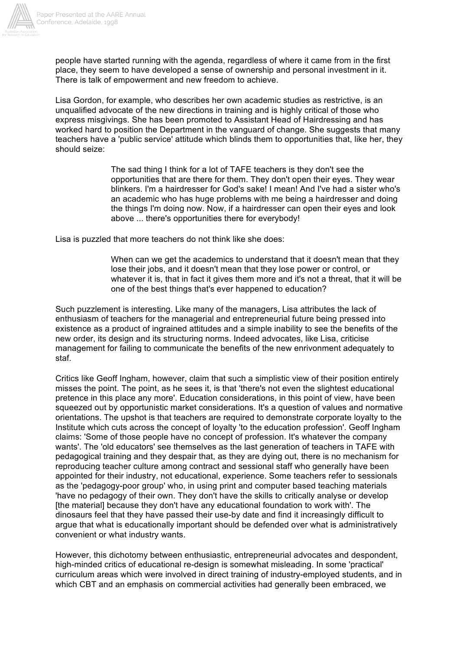

people have started running with the agenda, regardless of where it came from in the first place, they seem to have developed a sense of ownership and personal investment in it. There is talk of empowerment and new freedom to achieve.

Lisa Gordon, for example, who describes her own academic studies as restrictive, is an unqualified advocate of the new directions in training and is highly critical of those who express misgivings. She has been promoted to Assistant Head of Hairdressing and has worked hard to position the Department in the vanguard of change. She suggests that many teachers have a 'public service' attitude which blinds them to opportunities that, like her, they should seize:

> The sad thing I think for a lot of TAFE teachers is they don't see the opportunities that are there for them. They don't open their eyes. They wear blinkers. I'm a hairdresser for God's sake! I mean! And I've had a sister who's an academic who has huge problems with me being a hairdresser and doing the things I'm doing now. Now, if a hairdresser can open their eyes and look above ... there's opportunities there for everybody!

Lisa is puzzled that more teachers do not think like she does:

When can we get the academics to understand that it doesn't mean that they lose their jobs, and it doesn't mean that they lose power or control, or whatever it is, that in fact it gives them more and it's not a threat, that it will be one of the best things that's ever happened to education?

Such puzzlement is interesting. Like many of the managers, Lisa attributes the lack of enthusiasm of teachers for the managerial and entrepreneurial future being pressed into existence as a product of ingrained attitudes and a simple inability to see the benefits of the new order, its design and its structuring norms. Indeed advocates, like Lisa, criticise management for failing to communicate the benefits of the new enrivonment adequately to staf.

Critics like Geoff Ingham, however, claim that such a simplistic view of their position entirely misses the point. The point, as he sees it, is that 'there's not even the slightest educational pretence in this place any more'. Education considerations, in this point of view, have been squeezed out by opportunistic market considerations. It's a question of values and normative orientations. The upshot is that teachers are required to demonstrate corporate loyalty to the Institute which cuts across the concept of loyalty 'to the education profession'. Geoff Ingham claims: 'Some of those people have no concept of profession. It's whatever the company wants'. The 'old educators' see themselves as the last generation of teachers in TAFE with pedagogical training and they despair that, as they are dying out, there is no mechanism for reproducing teacher culture among contract and sessional staff who generally have been appointed for their industry, not educational, experience. Some teachers refer to sessionals as the 'pedagogy-poor group' who, in using print and computer based teaching materials 'have no pedagogy of their own. They don't have the skills to critically analyse or develop [the material] because they don't have any educational foundation to work with'. The dinosaurs feel that they have passed their use-by date and find it increasingly difficult to argue that what is educationally important should be defended over what is administratively convenient or what industry wants.

However, this dichotomy between enthusiastic, entrepreneurial advocates and despondent, high-minded critics of educational re-design is somewhat misleading. In some 'practical' curriculum areas which were involved in direct training of industry-employed students, and in which CBT and an emphasis on commercial activities had generally been embraced, we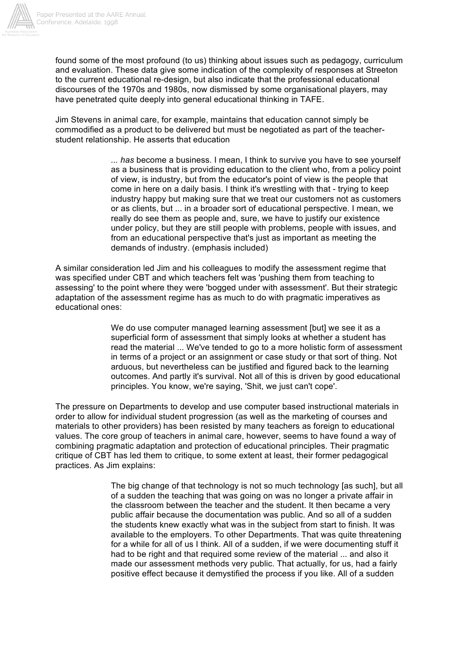

found some of the most profound (to us) thinking about issues such as pedagogy, curriculum and evaluation. These data give some indication of the complexity of responses at Streeton to the current educational re-design, but also indicate that the professional educational discourses of the 1970s and 1980s, now dismissed by some organisational players, may have penetrated quite deeply into general educational thinking in TAFE.

Jim Stevens in animal care, for example, maintains that education cannot simply be commodified as a product to be delivered but must be negotiated as part of the teacherstudent relationship. He asserts that education

> *... has* become a business. I mean, I think to survive you have to see yourself as a business that is providing education to the client who, from a policy point of view, is industry, but from the educator's point of view is the people that come in here on a daily basis. I think it's wrestling with that - trying to keep industry happy but making sure that we treat our customers not as customers or as clients, but ... in a broader sort of educational perspective. I mean, we really do see them as people and, sure, we have to justify our existence under policy, but they are still people with problems, people with issues, and from an educational perspective that's just as important as meeting the demands of industry. (emphasis included)

A similar consideration led Jim and his colleagues to modify the assessment regime that was specified under CBT and which teachers felt was 'pushing them from teaching to assessing' to the point where they were 'bogged under with assessment'. But their strategic adaptation of the assessment regime has as much to do with pragmatic imperatives as educational ones:

> We do use computer managed learning assessment [but] we see it as a superficial form of assessment that simply looks at whether a student has read the material ... We've tended to go to a more holistic form of assessment in terms of a project or an assignment or case study or that sort of thing. Not arduous, but nevertheless can be justified and figured back to the learning outcomes. And partly it's survival. Not all of this is driven by good educational principles. You know, we're saying, 'Shit, we just can't cope'.

The pressure on Departments to develop and use computer based instructional materials in order to allow for individual student progression (as well as the marketing of courses and materials to other providers) has been resisted by many teachers as foreign to educational values. The core group of teachers in animal care, however, seems to have found a way of combining pragmatic adaptation and protection of educational principles. Their pragmatic critique of CBT has led them to critique, to some extent at least, their former pedagogical practices. As Jim explains:

> The big change of that technology is not so much technology [as such], but all of a sudden the teaching that was going on was no longer a private affair in the classroom between the teacher and the student. It then became a very public affair because the documentation was public. And so all of a sudden the students knew exactly what was in the subject from start to finish. It was available to the employers. To other Departments. That was quite threatening for a while for all of us I think. All of a sudden, if we were documenting stuff it had to be right and that required some review of the material ... and also it made our assessment methods very public. That actually, for us, had a fairly positive effect because it demystified the process if you like. All of a sudden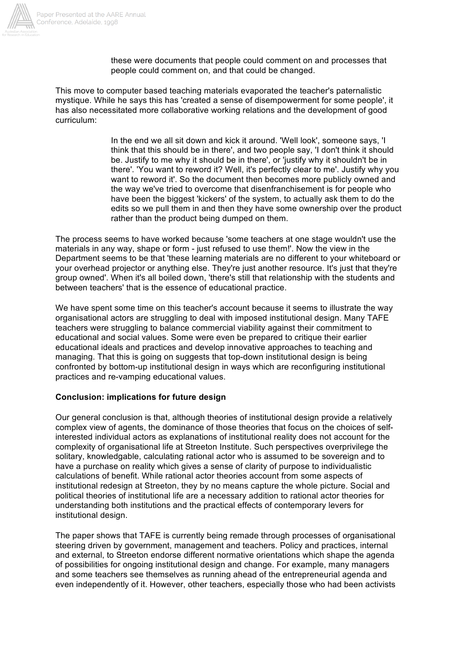

these were documents that people could comment on and processes that people could comment on, and that could be changed.

This move to computer based teaching materials evaporated the teacher's paternalistic mystique. While he says this has 'created a sense of disempowerment for some people', it has also necessitated more collaborative working relations and the development of good curriculum:

> In the end we all sit down and kick it around. 'Well look', someone says, 'I think that this should be in there', and two people say, 'I don't think it should be. Justify to me why it should be in there', or 'justify why it shouldn't be in there'. 'You want to reword it? Well, it's perfectly clear to me'. Justify why you want to reword it'. So the document then becomes more publicly owned and the way we've tried to overcome that disenfranchisement is for people who have been the biggest 'kickers' of the system, to actually ask them to do the edits so we pull them in and then they have some ownership over the product rather than the product being dumped on them.

The process seems to have worked because 'some teachers at one stage wouldn't use the materials in any way, shape or form - just refused to use them!'. Now the view in the Department seems to be that 'these learning materials are no different to your whiteboard or your overhead projector or anything else. They're just another resource. It's just that they're group owned'. When it's all boiled down, 'there's still that relationship with the students and between teachers' that is the essence of educational practice.

We have spent some time on this teacher's account because it seems to illustrate the way organisational actors are struggling to deal with imposed institutional design. Many TAFE teachers were struggling to balance commercial viability against their commitment to educational and social values. Some were even be prepared to critique their earlier educational ideals and practices and develop innovative approaches to teaching and managing. That this is going on suggests that top-down institutional design is being confronted by bottom-up institutional design in ways which are reconfiguring institutional practices and re-vamping educational values.

#### **Conclusion: implications for future design**

Our general conclusion is that, although theories of institutional design provide a relatively complex view of agents, the dominance of those theories that focus on the choices of selfinterested individual actors as explanations of institutional reality does not account for the complexity of organisational life at Streeton Institute. Such perspectives overprivilege the solitary, knowledgable, calculating rational actor who is assumed to be sovereign and to have a purchase on reality which gives a sense of clarity of purpose to individualistic calculations of benefit. While rational actor theories account from some aspects of institutional redesign at Streeton, they by no means capture the whole picture. Social and political theories of institutional life are a necessary addition to rational actor theories for understanding both institutions and the practical effects of contemporary levers for institutional design.

The paper shows that TAFE is currently being remade through processes of organisational steering driven by government, management and teachers. Policy and practices, internal and external, to Streeton endorse different normative orientations which shape the agenda of possibilities for ongoing institutional design and change. For example, many managers and some teachers see themselves as running ahead of the entrepreneurial agenda and even independently of it. However, other teachers, especially those who had been activists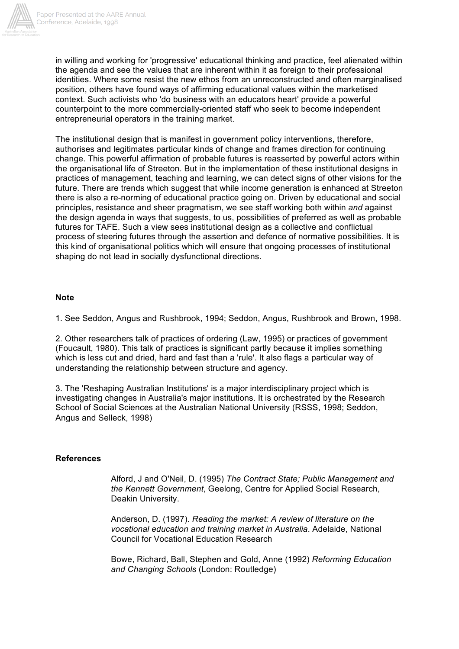

in willing and working for 'progressive' educational thinking and practice, feel alienated within the agenda and see the values that are inherent within it as foreign to their professional identities. Where some resist the new ethos from an unreconstructed and often marginalised position, others have found ways of affirming educational values within the marketised context. Such activists who 'do business with an educators heart' provide a powerful counterpoint to the more commercially-oriented staff who seek to become independent entrepreneurial operators in the training market.

The institutional design that is manifest in government policy interventions, therefore, authorises and legitimates particular kinds of change and frames direction for continuing change. This powerful affirmation of probable futures is reasserted by powerful actors within the organisational life of Streeton. But in the implementation of these institutional designs in practices of management, teaching and learning, we can detect signs of other visions for the future. There are trends which suggest that while income generation is enhanced at Streeton there is also a re-norming of educational practice going on. Driven by educational and social principles, resistance and sheer pragmatism, we see staff working both within *and* against the design agenda in ways that suggests, to us, possibilities of preferred as well as probable futures for TAFE. Such a view sees institutional design as a collective and conflictual process of steering futures through the assertion and defence of normative possibilities. It is this kind of organisational politics which will ensure that ongoing processes of institutional shaping do not lead in socially dysfunctional directions.

### **Note**

1. See Seddon, Angus and Rushbrook, 1994; Seddon, Angus, Rushbrook and Brown, 1998.

2. Other researchers talk of practices of ordering (Law, 1995) or practices of government (Foucault, 1980). This talk of practices is significant partly because it implies something which is less cut and dried, hard and fast than a 'rule'. It also flags a particular way of understanding the relationship between structure and agency.

3. The 'Reshaping Australian Institutions' is a major interdisciplinary project which is investigating changes in Australia's major institutions. It is orchestrated by the Research School of Social Sciences at the Australian National University (RSSS, 1998; Seddon, Angus and Selleck, 1998)

### **References**

Alford, J and O'Neil, D. (1995) *The Contract State; Public Management and the Kennett Government*, Geelong, Centre for Applied Social Research, Deakin University.

Anderson, D. (1997). *Reading the market: A review of literature on the vocational education and training market in Australia*. Adelaide, National Council for Vocational Education Research

Bowe, Richard, Ball, Stephen and Gold, Anne (1992) *Reforming Education and Changing Schools* (London: Routledge)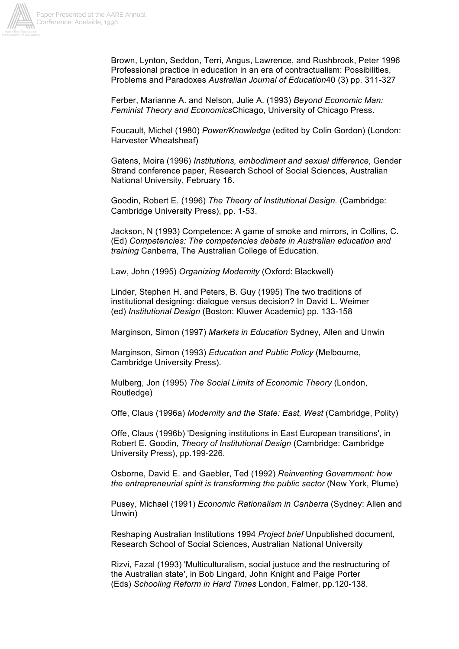

Brown, Lynton, Seddon, Terri, Angus, Lawrence, and Rushbrook, Peter 1996 Professional practice in education in an era of contractualism: Possibilities, Problems and Paradoxes *Australian Journal of Education*40 (3) pp. 311-327

Ferber, Marianne A. and Nelson, Julie A. (1993) *Beyond Economic Man: Feminist Theory and Economics*Chicago, University of Chicago Press.

Foucault, Michel (1980) *Power/Knowledge* (edited by Colin Gordon) (London: Harvester Wheatsheaf)

Gatens, Moira (1996) *Institutions, embodiment and sexual difference*, Gender Strand conference paper, Research School of Social Sciences, Australian National University, February 16.

Goodin, Robert E. (1996) *The Theory of Institutional Design.* (Cambridge: Cambridge University Press), pp. 1-53.

Jackson, N (1993) Competence: A game of smoke and mirrors, in Collins, C. (Ed) *Competencies: The competencies debate in Australian education and training* Canberra, The Australian College of Education.

Law, John (1995) *Organizing Modernity* (Oxford: Blackwell)

Linder, Stephen H. and Peters, B. Guy (1995) The two traditions of institutional designing: dialogue versus decision? In David L. Weimer (ed) *Institutional Design* (Boston: Kluwer Academic) pp. 133-158

Marginson, Simon (1997) *Markets in Education* Sydney, Allen and Unwin

Marginson, Simon (1993) *Education and Public Policy* (Melbourne, Cambridge University Press).

Mulberg, Jon (1995) *The Social Limits of Economic Theory* (London, Routledge)

Offe, Claus (1996a) *Modernity and the State: East, West* (Cambridge, Polity)

Offe, Claus (1996b) 'Designing institutions in East European transitions', in Robert E. Goodin, *Theory of Institutional Design* (Cambridge: Cambridge University Press), pp.199-226.

Osborne, David E. and Gaebler, Ted (1992) *Reinventing Government: how the entrepreneurial spirit is transforming the public sector* (New York, Plume)

Pusey, Michael (1991) *Economic Rationalism in Canberra* (Sydney: Allen and Unwin)

Reshaping Australian Institutions 1994 *Project brief* Unpublished document, Research School of Social Sciences, Australian National University

Rizvi, Fazal (1993) 'Multiculturalism, social justuce and the restructuring of the Australian state', in Bob Lingard, John Knight and Paige Porter (Eds) *Schooling Reform in Hard Times* London, Falmer, pp.120-138.